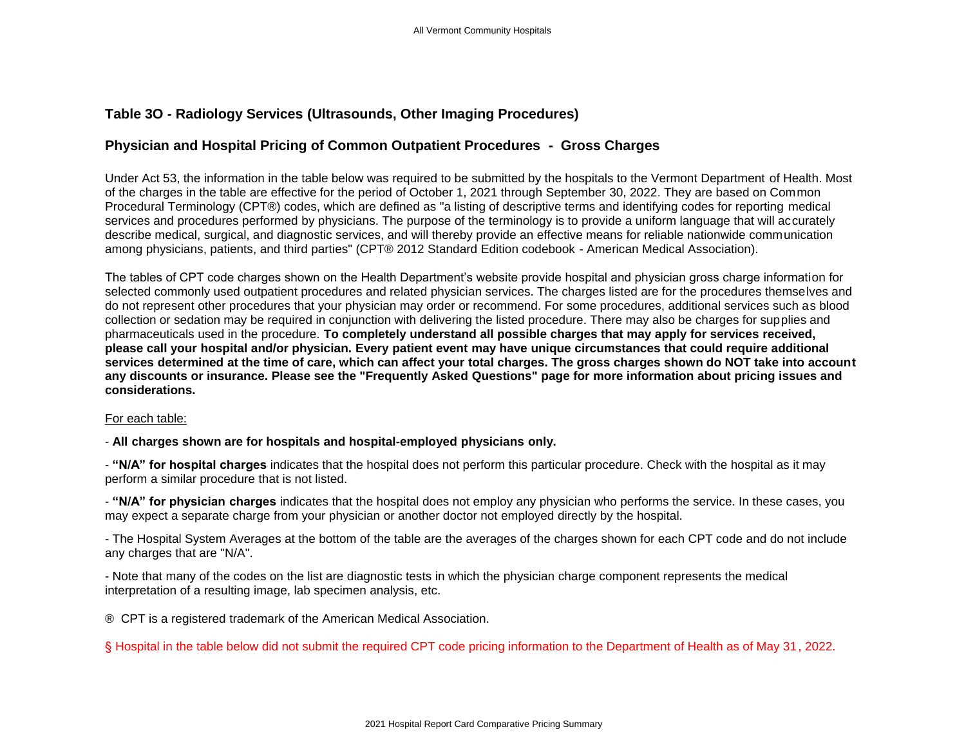## **Table 3O - Radiology Services (Ultrasounds, Other Imaging Procedures)**

## **Physician and Hospital Pricing of Common Outpatient Procedures - Gross Charges**

Under Act 53, the information in the table below was required to be submitted by the hospitals to the Vermont Department of Health. Most of the charges in the table are effective for the period of October 1, 2021 through September 30, 2022. They are based on Common Procedural Terminology (CPT®) codes, which are defined as "a listing of descriptive terms and identifying codes for reporting medical services and procedures performed by physicians. The purpose of the terminology is to provide a uniform language that will accurately describe medical, surgical, and diagnostic services, and will thereby provide an effective means for reliable nationwide communication among physicians, patients, and third parties" (CPT® 2012 Standard Edition codebook - American Medical Association).

The tables of CPT code charges shown on the Health Department's website provide hospital and physician gross charge information for selected commonly used outpatient procedures and related physician services. The charges listed are for the procedures themselves and do not represent other procedures that your physician may order or recommend. For some procedures, additional services such as blood collection or sedation may be required in conjunction with delivering the listed procedure. There may also be charges for supplies and pharmaceuticals used in the procedure. **To completely understand all possible charges that may apply for services received, please call your hospital and/or physician. Every patient event may have unique circumstances that could require additional services determined at the time of care, which can affect your total charges. The gross charges shown do NOT take into account any discounts or insurance. Please see the "Frequently Asked Questions" page for more information about pricing issues and considerations.**

## For each table:

- **All charges shown are for hospitals and hospital-employed physicians only.**

- **"N/A" for hospital charges** indicates that the hospital does not perform this particular procedure. Check with the hospital as it may perform a similar procedure that is not listed.

- **"N/A" for physician charges** indicates that the hospital does not employ any physician who performs the service. In these cases, you may expect a separate charge from your physician or another doctor not employed directly by the hospital.

- The Hospital System Averages at the bottom of the table are the averages of the charges shown for each CPT code and do not include any charges that are "N/A".

- Note that many of the codes on the list are diagnostic tests in which the physician charge component represents the medical interpretation of a resulting image, lab specimen analysis, etc.

® CPT is a registered trademark of the American Medical Association.

§ Hospital in the table below did not submit the required CPT code pricing information to the Department of Health as of May 31, 2022.